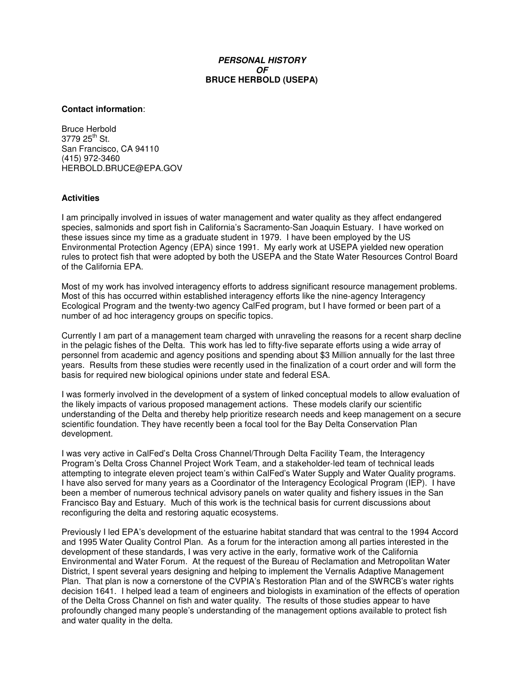# *PERSONAL HISTORY OF* **BRUCE HERBOLD (USEPA)**

#### **Contact information**:

Bruce Herbold 3779 25<sup>th</sup> St. San Francisco, CA 94110 (415) 972-3460 HERBOLD.BRUCE@EPA.GOV

# **Activities**

I am principally involved in issues of water management and water quality as they affect endangered species, salmonids and sport fish in California's Sacramento-San Joaquin Estuary. I have worked on these issues since my time as a graduate student in 1979. I have been employed by the US Environmental Protection Agency (EPA) since 1991. My early work at USEPA yielded new operation rules to protect fish that were adopted by both the USEPA and the State Water Resources Control Board of the California EPA.

Most of my work has involved interagency efforts to address significant resource management problems. Most of this has occurred within established interagency efforts like the nine-agency Interagency Ecological Program and the twenty-two agency CalFed program, but I have formed or been part of a number of ad hoc interagency groups on specific topics.

Currently I am part of a management team charged with unraveling the reasons for a recent sharp decline in the pelagic fishes of the Delta. This work has led to fifty-five separate efforts using a wide array of personnel from academic and agency positions and spending about \$3 Million annually for the last three years. Results from these studies were recently used in the finalization of a court order and will form the basis for required new biological opinions under state and federal ESA.

I was formerly involved in the development of a system of linked conceptual models to allow evaluation of the likely impacts of various proposed management actions. These models clarify our scientific understanding of the Delta and thereby help prioritize research needs and keep management on a secure scientific foundation. They have recently been a focal tool for the Bay Delta Conservation Plan development.

I was very active in CalFed's Delta Cross Channel/Through Delta Facility Team, the Interagency Program's Delta Cross Channel Project Work Team, and a stakeholder-led team of technical leads attempting to integrate eleven project team's within CalFed's Water Supply and Water Quality programs. I have also served for many years as a Coordinator of the Interagency Ecological Program (IEP). I have been a member of numerous technical advisory panels on water quality and fishery issues in the San Francisco Bay and Estuary. Much of this work is the technical basis for current discussions about reconfiguring the delta and restoring aquatic ecosystems.

Previously I led EPA's development of the estuarine habitat standard that was central to the 1994 Accord and 1995 Water Quality Control Plan. As a forum for the interaction among all parties interested in the development of these standards, I was very active in the early, formative work of the California Environmental and Water Forum. At the request of the Bureau of Reclamation and Metropolitan Water District, I spent several years designing and helping to implement the Vernalis Adaptive Management Plan. That plan is now a cornerstone of the CVPIA's Restoration Plan and of the SWRCB's water rights decision 1641. I helped lead a team of engineers and biologists in examination of the effects of operation of the Delta Cross Channel on fish and water quality. The results of those studies appear to have profoundly changed many people's understanding of the management options available to protect fish and water quality in the delta.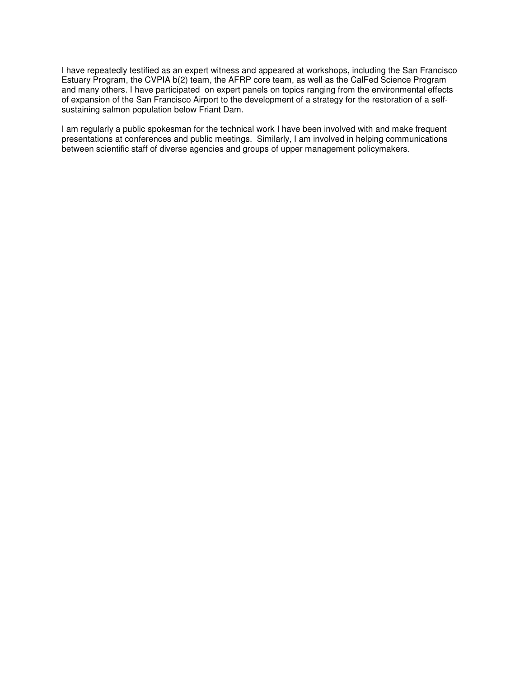I have repeatedly testified as an expert witness and appeared at workshops, including the San Francisco Estuary Program, the CVPIA b(2) team, the AFRP core team, as well as the CalFed Science Program and many others. I have participated on expert panels on topics ranging from the environmental effects of expansion of the San Francisco Airport to the development of a strategy for the restoration of a selfsustaining salmon population below Friant Dam.

I am regularly a public spokesman for the technical work I have been involved with and make frequent presentations at conferences and public meetings. Similarly, I am involved in helping communications between scientific staff of diverse agencies and groups of upper management policymakers.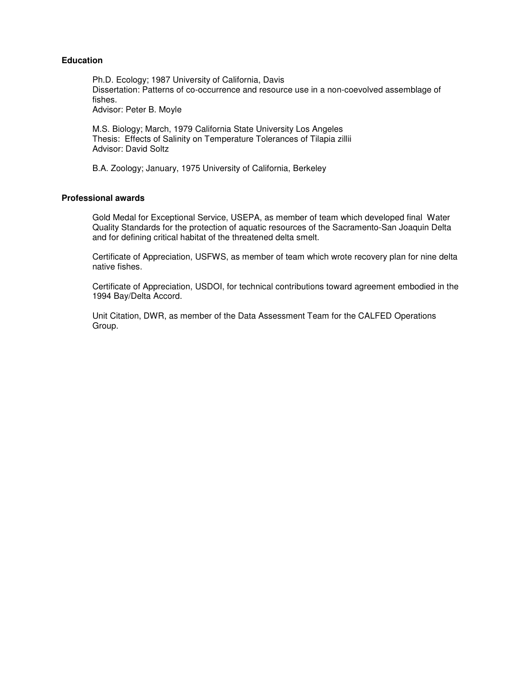## **Education**

Ph.D. Ecology; 1987 University of California, Davis Dissertation: Patterns of co-occurrence and resource use in a non-coevolved assemblage of fishes. Advisor: Peter B. Moyle

M.S. Biology; March, 1979 California State University Los Angeles Thesis: Effects of Salinity on Temperature Tolerances of Tilapia zillii Advisor: David Soltz

B.A. Zoology; January, 1975 University of California, Berkeley

## **Professional awards**

Gold Medal for Exceptional Service, USEPA, as member of team which developed final Water Quality Standards for the protection of aquatic resources of the Sacramento-San Joaquin Delta and for defining critical habitat of the threatened delta smelt.

Certificate of Appreciation, USFWS, as member of team which wrote recovery plan for nine delta native fishes.

Certificate of Appreciation, USDOI, for technical contributions toward agreement embodied in the 1994 Bay/Delta Accord.

Unit Citation, DWR, as member of the Data Assessment Team for the CALFED Operations Group.